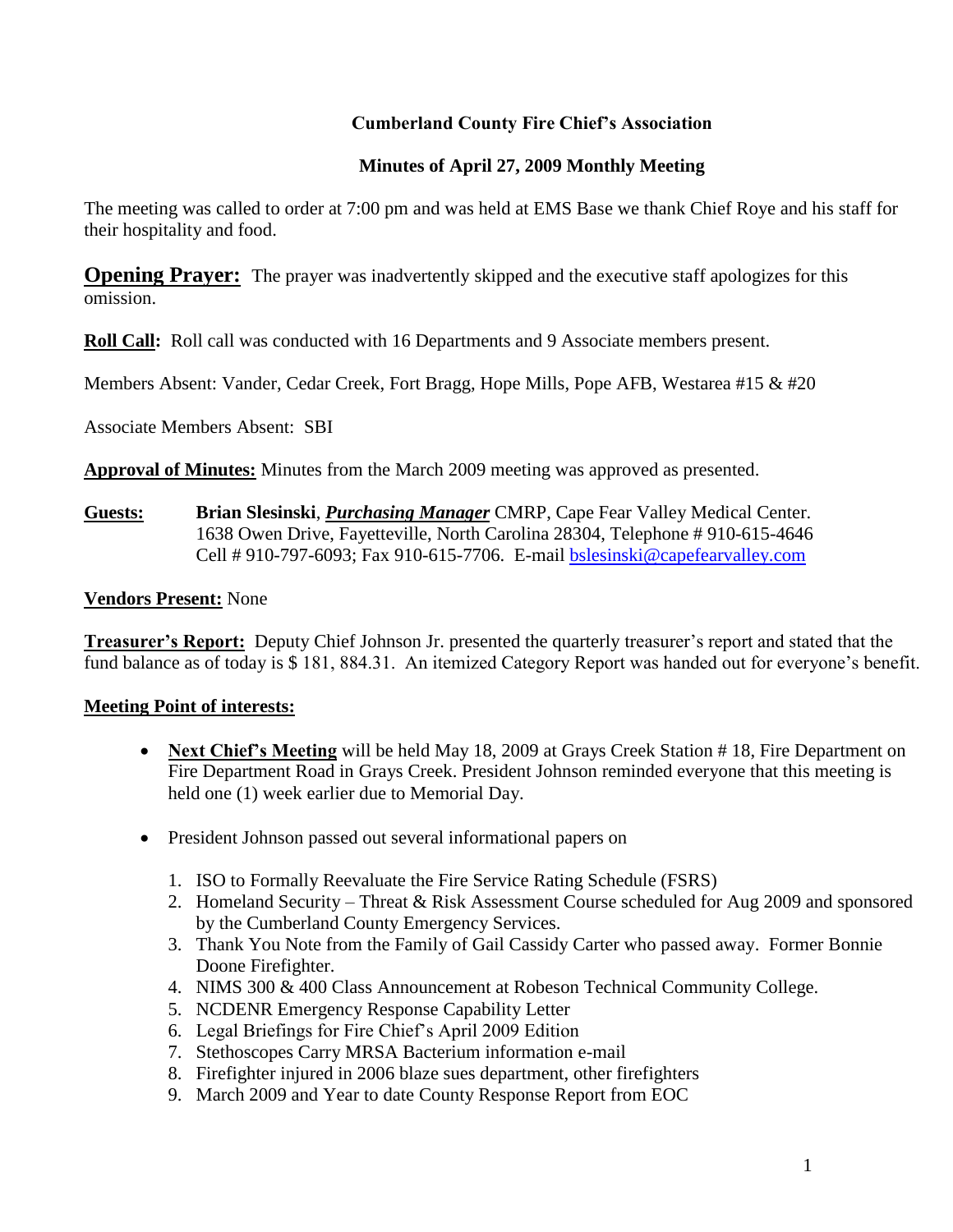# **Cumberland County Fire Chief's Association**

# **Minutes of April 27, 2009 Monthly Meeting**

The meeting was called to order at 7:00 pm and was held at EMS Base we thank Chief Roye and his staff for their hospitality and food.

**Opening Prayer:** The prayer was inadvertently skipped and the executive staff apologizes for this omission.

**Roll Call:** Roll call was conducted with 16 Departments and 9 Associate members present.

Members Absent: Vander, Cedar Creek, Fort Bragg, Hope Mills, Pope AFB, Westarea #15 & #20

Associate Members Absent: SBI

**Approval of Minutes:** Minutes from the March 2009 meeting was approved as presented.

**Guests: Brian Slesinski**, *Purchasing Manager* CMRP, Cape Fear Valley Medical Center. 1638 Owen Drive, Fayetteville, North Carolina 28304, Telephone # 910-615-4646 Cell # 910-797-6093; Fax 910-615-7706. E-mail **bslesinski@capefearvalley.com** 

#### **Vendors Present:** None

**Treasurer's Report:** Deputy Chief Johnson Jr. presented the quarterly treasurer's report and stated that the fund balance as of today is \$ 181, 884.31. An itemized Category Report was handed out for everyone's benefit.

#### **Meeting Point of interests:**

- Next Chief's Meeting will be held May 18, 2009 at Grays Creek Station # 18, Fire Department on Fire Department Road in Grays Creek. President Johnson reminded everyone that this meeting is held one (1) week earlier due to Memorial Day.
- President Johnson passed out several informational papers on
	- 1. ISO to Formally Reevaluate the Fire Service Rating Schedule (FSRS)
	- 2. Homeland Security Threat & Risk Assessment Course scheduled for Aug 2009 and sponsored by the Cumberland County Emergency Services.
	- 3. Thank You Note from the Family of Gail Cassidy Carter who passed away. Former Bonnie Doone Firefighter.
	- 4. NIMS 300 & 400 Class Announcement at Robeson Technical Community College.
	- 5. NCDENR Emergency Response Capability Letter
	- 6. Legal Briefings for Fire Chief's April 2009 Edition
	- 7. Stethoscopes Carry MRSA Bacterium information e-mail
	- 8. Firefighter injured in 2006 blaze sues department, other firefighters
	- 9. March 2009 and Year to date County Response Report from EOC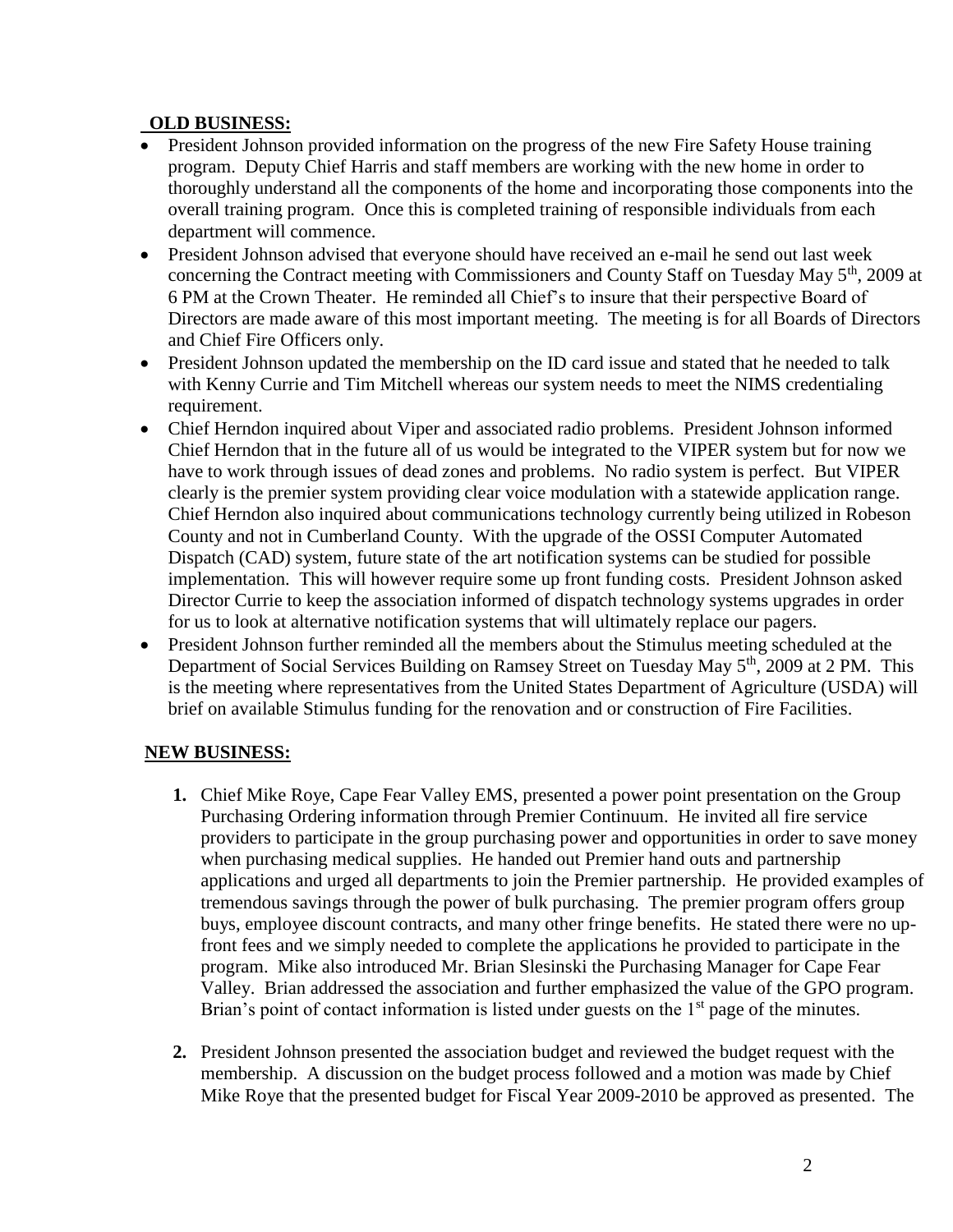#### **OLD BUSINESS:**

- President Johnson provided information on the progress of the new Fire Safety House training program. Deputy Chief Harris and staff members are working with the new home in order to thoroughly understand all the components of the home and incorporating those components into the overall training program. Once this is completed training of responsible individuals from each department will commence.
- President Johnson advised that everyone should have received an e-mail he send out last week concerning the Contract meeting with Commissioners and County Staff on Tuesday May 5<sup>th</sup>, 2009 at 6 PM at the Crown Theater. He reminded all Chief's to insure that their perspective Board of Directors are made aware of this most important meeting. The meeting is for all Boards of Directors and Chief Fire Officers only.
- President Johnson updated the membership on the ID card issue and stated that he needed to talk with Kenny Currie and Tim Mitchell whereas our system needs to meet the NIMS credentialing requirement.
- Chief Herndon inquired about Viper and associated radio problems. President Johnson informed Chief Herndon that in the future all of us would be integrated to the VIPER system but for now we have to work through issues of dead zones and problems. No radio system is perfect. But VIPER clearly is the premier system providing clear voice modulation with a statewide application range. Chief Herndon also inquired about communications technology currently being utilized in Robeson County and not in Cumberland County. With the upgrade of the OSSI Computer Automated Dispatch (CAD) system, future state of the art notification systems can be studied for possible implementation. This will however require some up front funding costs. President Johnson asked Director Currie to keep the association informed of dispatch technology systems upgrades in order for us to look at alternative notification systems that will ultimately replace our pagers.
- President Johnson further reminded all the members about the Stimulus meeting scheduled at the Department of Social Services Building on Ramsey Street on Tuesday May  $5<sup>th</sup>$ , 2009 at 2 PM. This is the meeting where representatives from the United States Department of Agriculture (USDA) will brief on available Stimulus funding for the renovation and or construction of Fire Facilities.

# **NEW BUSINESS:**

- **1.** Chief Mike Roye, Cape Fear Valley EMS, presented a power point presentation on the Group Purchasing Ordering information through Premier Continuum. He invited all fire service providers to participate in the group purchasing power and opportunities in order to save money when purchasing medical supplies. He handed out Premier hand outs and partnership applications and urged all departments to join the Premier partnership. He provided examples of tremendous savings through the power of bulk purchasing. The premier program offers group buys, employee discount contracts, and many other fringe benefits. He stated there were no upfront fees and we simply needed to complete the applications he provided to participate in the program. Mike also introduced Mr. Brian Slesinski the Purchasing Manager for Cape Fear Valley. Brian addressed the association and further emphasized the value of the GPO program. Brian's point of contact information is listed under guests on the 1<sup>st</sup> page of the minutes.
- **2.** President Johnson presented the association budget and reviewed the budget request with the membership. A discussion on the budget process followed and a motion was made by Chief Mike Roye that the presented budget for Fiscal Year 2009-2010 be approved as presented. The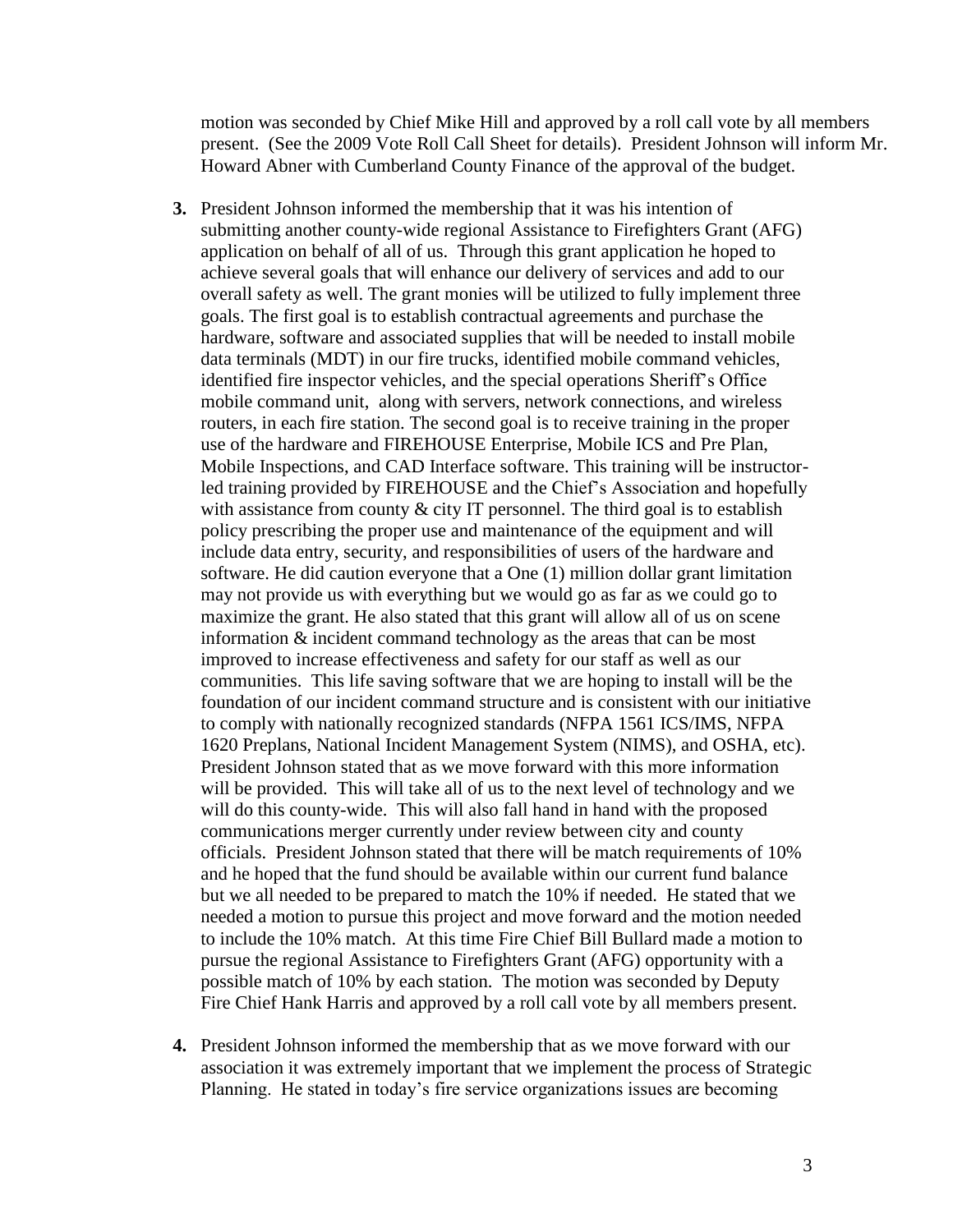motion was seconded by Chief Mike Hill and approved by a roll call vote by all members present. (See the 2009 Vote Roll Call Sheet for details). President Johnson will inform Mr. Howard Abner with Cumberland County Finance of the approval of the budget.

- **3.** President Johnson informed the membership that it was his intention of submitting another county-wide regional Assistance to Firefighters Grant (AFG) application on behalf of all of us. Through this grant application he hoped to achieve several goals that will enhance our delivery of services and add to our overall safety as well. The grant monies will be utilized to fully implement three goals. The first goal is to establish contractual agreements and purchase the hardware, software and associated supplies that will be needed to install mobile data terminals (MDT) in our fire trucks, identified mobile command vehicles, identified fire inspector vehicles, and the special operations Sheriff's Office mobile command unit, along with servers, network connections, and wireless routers, in each fire station. The second goal is to receive training in the proper use of the hardware and FIREHOUSE Enterprise, Mobile ICS and Pre Plan, Mobile Inspections, and CAD Interface software. This training will be instructorled training provided by FIREHOUSE and the Chief's Association and hopefully with assistance from county & city IT personnel. The third goal is to establish policy prescribing the proper use and maintenance of the equipment and will include data entry, security, and responsibilities of users of the hardware and software. He did caution everyone that a One (1) million dollar grant limitation may not provide us with everything but we would go as far as we could go to maximize the grant. He also stated that this grant will allow all of us on scene information & incident command technology as the areas that can be most improved to increase effectiveness and safety for our staff as well as our communities. This life saving software that we are hoping to install will be the foundation of our incident command structure and is consistent with our initiative to comply with nationally recognized standards (NFPA 1561 ICS/IMS, NFPA 1620 Preplans, National Incident Management System (NIMS), and OSHA, etc). President Johnson stated that as we move forward with this more information will be provided. This will take all of us to the next level of technology and we will do this county-wide. This will also fall hand in hand with the proposed communications merger currently under review between city and county officials. President Johnson stated that there will be match requirements of 10% and he hoped that the fund should be available within our current fund balance but we all needed to be prepared to match the 10% if needed. He stated that we needed a motion to pursue this project and move forward and the motion needed to include the 10% match. At this time Fire Chief Bill Bullard made a motion to pursue the regional Assistance to Firefighters Grant (AFG) opportunity with a possible match of 10% by each station. The motion was seconded by Deputy Fire Chief Hank Harris and approved by a roll call vote by all members present.
- **4.** President Johnson informed the membership that as we move forward with our association it was extremely important that we implement the process of Strategic Planning. He stated in today's fire service organizations issues are becoming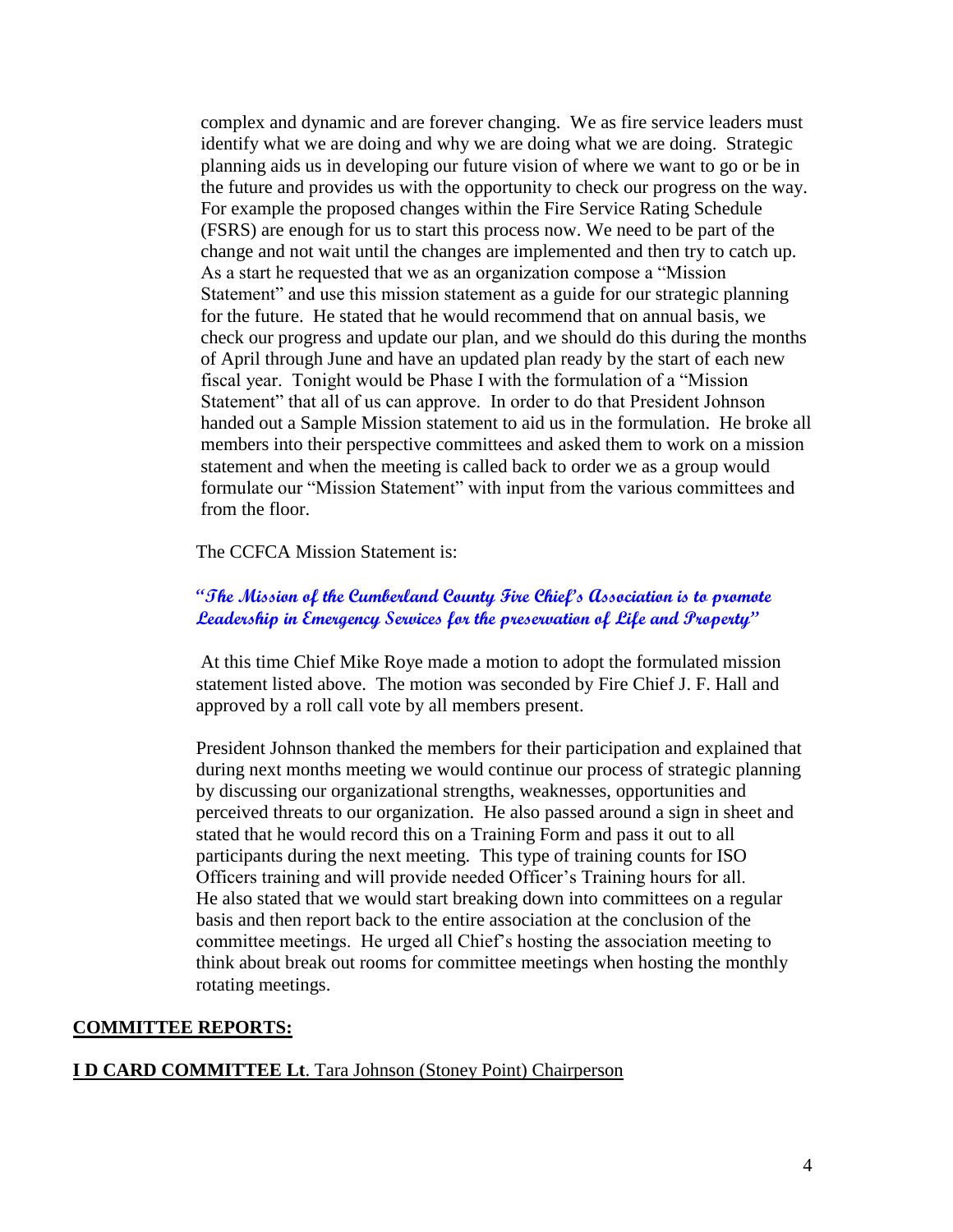complex and dynamic and are forever changing. We as fire service leaders must identify what we are doing and why we are doing what we are doing. Strategic planning aids us in developing our future vision of where we want to go or be in the future and provides us with the opportunity to check our progress on the way. For example the proposed changes within the Fire Service Rating Schedule (FSRS) are enough for us to start this process now. We need to be part of the change and not wait until the changes are implemented and then try to catch up. As a start he requested that we as an organization compose a "Mission Statement" and use this mission statement as a guide for our strategic planning for the future. He stated that he would recommend that on annual basis, we check our progress and update our plan, and we should do this during the months of April through June and have an updated plan ready by the start of each new fiscal year. Tonight would be Phase I with the formulation of a "Mission Statement" that all of us can approve. In order to do that President Johnson handed out a Sample Mission statement to aid us in the formulation. He broke all members into their perspective committees and asked them to work on a mission statement and when the meeting is called back to order we as a group would formulate our "Mission Statement" with input from the various committees and from the floor.

#### The CCFCA Mission Statement is:

#### **"The Mission of the Cumberland County Fire Chief's Association is to promote Leadership in Emergency Services for the preservation of Life and Property"**

At this time Chief Mike Roye made a motion to adopt the formulated mission statement listed above. The motion was seconded by Fire Chief J. F. Hall and approved by a roll call vote by all members present.

President Johnson thanked the members for their participation and explained that during next months meeting we would continue our process of strategic planning by discussing our organizational strengths, weaknesses, opportunities and perceived threats to our organization. He also passed around a sign in sheet and stated that he would record this on a Training Form and pass it out to all participants during the next meeting. This type of training counts for ISO Officers training and will provide needed Officer's Training hours for all. He also stated that we would start breaking down into committees on a regular basis and then report back to the entire association at the conclusion of the committee meetings. He urged all Chief's hosting the association meeting to think about break out rooms for committee meetings when hosting the monthly rotating meetings.

#### **COMMITTEE REPORTS:**

#### **I D CARD COMMITTEE Lt**. Tara Johnson (Stoney Point) Chairperson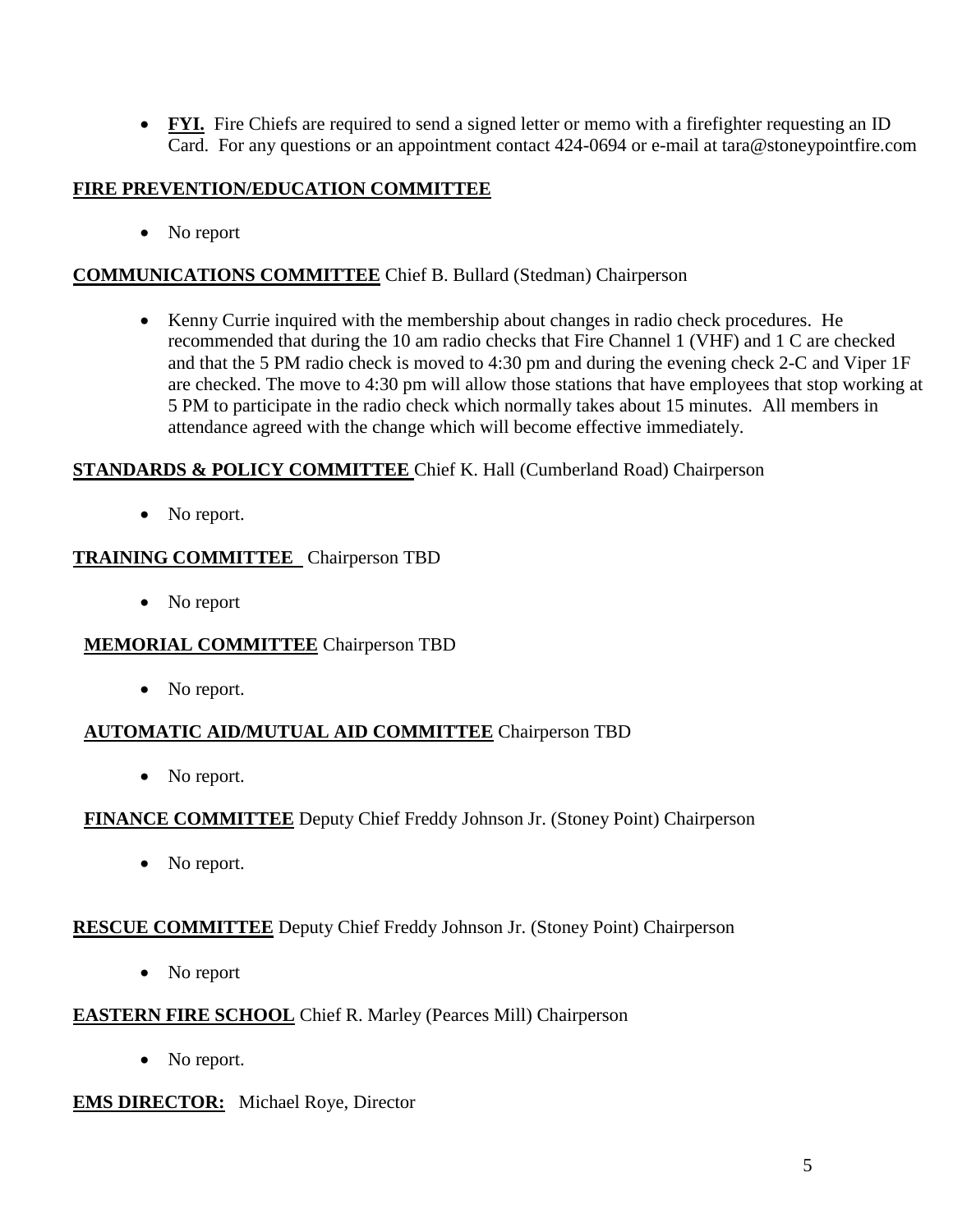• **FYI.** Fire Chiefs are required to send a signed letter or memo with a firefighter requesting an ID Card. For any questions or an appointment contact 424-0694 or e-mail at [tara@stoneypointfire.com](mailto:tara@stoneypointfire.com)

# **FIRE PREVENTION/EDUCATION COMMITTEE**

• No report

# **COMMUNICATIONS COMMITTEE** Chief B. Bullard (Stedman) Chairperson

 Kenny Currie inquired with the membership about changes in radio check procedures. He recommended that during the 10 am radio checks that Fire Channel 1 (VHF) and 1 C are checked and that the 5 PM radio check is moved to 4:30 pm and during the evening check 2-C and Viper 1F are checked. The move to 4:30 pm will allow those stations that have employees that stop working at 5 PM to participate in the radio check which normally takes about 15 minutes. All members in attendance agreed with the change which will become effective immediately.

# **STANDARDS & POLICY COMMITTEE** Chief K. Hall (Cumberland Road) Chairperson

• No report.

# **TRAINING COMMITTEE** Chairperson TBD

• No report

# **MEMORIAL COMMITTEE** Chairperson TBD

• No report.

# **AUTOMATIC AID/MUTUAL AID COMMITTEE** Chairperson TBD

• No report.

# **FINANCE COMMITTEE** Deputy Chief Freddy Johnson Jr. (Stoney Point) Chairperson

• No report.

# **RESCUE COMMITTEE** Deputy Chief Freddy Johnson Jr. (Stoney Point) Chairperson

• No report

#### **EASTERN FIRE SCHOOL** Chief R. Marley (Pearces Mill) Chairperson

• No report.

#### **EMS DIRECTOR:** Michael Roye, Director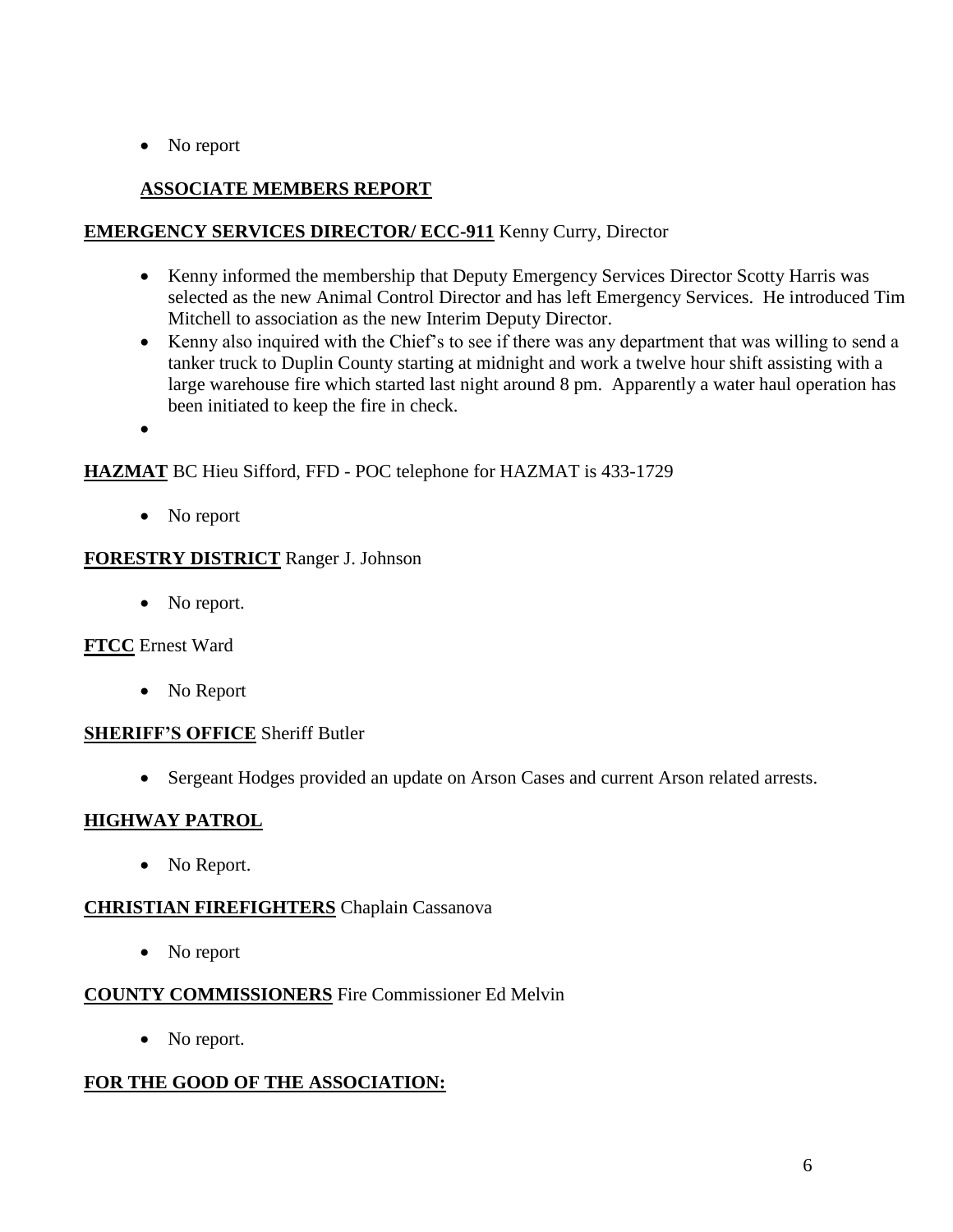• No report

# **ASSOCIATE MEMBERS REPORT**

#### **EMERGENCY SERVICES DIRECTOR/ ECC-911** Kenny Curry, Director

- Kenny informed the membership that Deputy Emergency Services Director Scotty Harris was selected as the new Animal Control Director and has left Emergency Services. He introduced Tim Mitchell to association as the new Interim Deputy Director.
- Kenny also inquired with the Chief's to see if there was any department that was willing to send a tanker truck to Duplin County starting at midnight and work a twelve hour shift assisting with a large warehouse fire which started last night around 8 pm. Apparently a water haul operation has been initiated to keep the fire in check.
- $\bullet$

#### **HAZMAT** BC Hieu Sifford, FFD - POC telephone for HAZMAT is 433-1729

• No report

#### **FORESTRY DISTRICT** Ranger J. Johnson

• No report.

# **FTCC** Ernest Ward

• No Report

#### **SHERIFF'S OFFICE** Sheriff Butler

Sergeant Hodges provided an update on Arson Cases and current Arson related arrests.

# **HIGHWAY PATROL**

• No Report.

# **CHRISTIAN FIREFIGHTERS** Chaplain Cassanova

• No report

#### **COUNTY COMMISSIONERS** Fire Commissioner Ed Melvin

• No report.

# **FOR THE GOOD OF THE ASSOCIATION:**